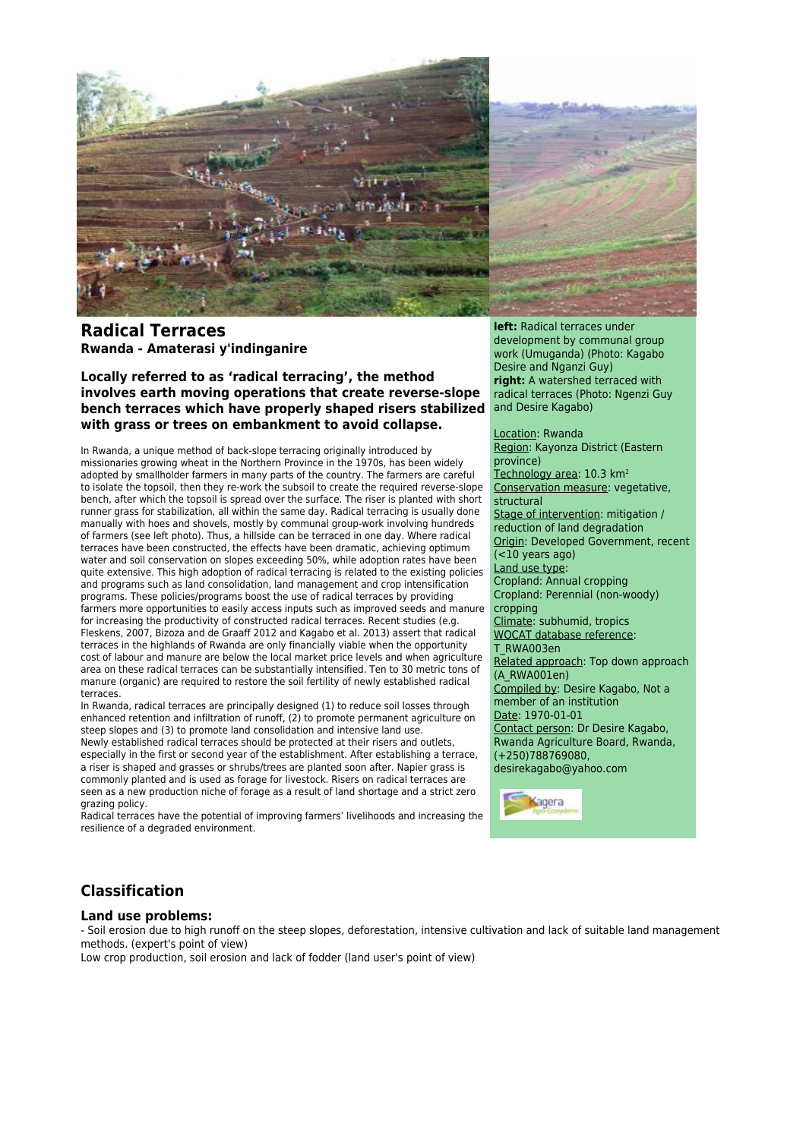

# **Radical Terraces Rwanda - Amaterasi y'indinganire**

**Locally referred to as 'radical terracing', the method involves earth moving operations that create reverse-slope bench terraces which have properly shaped risers stabilized with grass or trees on embankment to avoid collapse.**

In Rwanda, a unique method of back-slope terracing originally introduced by missionaries growing wheat in the Northern Province in the 1970s, has been widely adopted by smallholder farmers in many parts of the country. The farmers are careful to isolate the topsoil, then they re-work the subsoil to create the required reverse-slope bench, after which the topsoil is spread over the surface. The riser is planted with short runner grass for stabilization, all within the same day. Radical terracing is usually done manually with hoes and shovels, mostly by communal group-work involving hundreds of farmers (see left photo). Thus, a hillside can be terraced in one day. Where radical terraces have been constructed, the effects have been dramatic, achieving optimum water and soil conservation on slopes exceeding 50%, while adoption rates have been quite extensive. This high adoption of radical terracing is related to the existing policies and programs such as land consolidation, land management and crop intensification programs. These policies/programs boost the use of radical terraces by providing farmers more opportunities to easily access inputs such as improved seeds and manure for increasing the productivity of constructed radical terraces. Recent studies (e.g. Fleskens, 2007, Bizoza and de Graaff 2012 and Kagabo et al. 2013) assert that radical terraces in the highlands of Rwanda are only financially viable when the opportunity cost of labour and manure are below the local market price levels and when agriculture area on these radical terraces can be substantially intensified. Ten to 30 metric tons of manure (organic) are required to restore the soil fertility of newly established radical terraces.

In Rwanda, radical terraces are principally designed (1) to reduce soil losses through enhanced retention and infiltration of runoff, (2) to promote permanent agriculture on steep slopes and (3) to promote land consolidation and intensive land use. Newly established radical terraces should be protected at their risers and outlets, especially in the first or second year of the establishment. After establishing a terrace, a riser is shaped and grasses or shrubs/trees are planted soon after. Napier grass is commonly planted and is used as forage for livestock. Risers on radical terraces are seen as a new production niche of forage as a result of land shortage and a strict zero grazing policy.

Radical terraces have the potential of improving farmers' livelihoods and increasing the resilience of a degraded environment.

**left:** Radical terraces under development by communal group work (Umuganda) (Photo: Kagabo Desire and Nganzi Guy) **right:** A watershed terraced with radical terraces (Photo: Ngenzi Guy and Desire Kagabo)

Location: Rwanda Region: Kayonza District (Eastern province) Technology area: 10.3 km<sup>2</sup> Conservation measure: vegetative, structural Stage of intervention: mitigation / reduction of land degradation Origin: Developed Government, recent  $( $10$  years ago)$ Land use type: Cropland: Annual cropping Cropland: Perennial (non-woody) cropping Climate: subhumid, tropics WOCAT database reference: T\_RWA003en Related approach: Top down approach (A\_RWA001en) Compiled by: Desire Kagabo, Not a member of an institution Date: 1970-01-01 Contact person: Dr Desire Kagabo, Rwanda Agriculture Board, Rwanda, (+250)788769080, desirekagabo@yahoo.com



# **Classification**

### **Land use problems:**

- Soil erosion due to high runoff on the steep slopes, deforestation, intensive cultivation and lack of suitable land management methods. (expert's point of view)

Low crop production, soil erosion and lack of fodder (land user's point of view)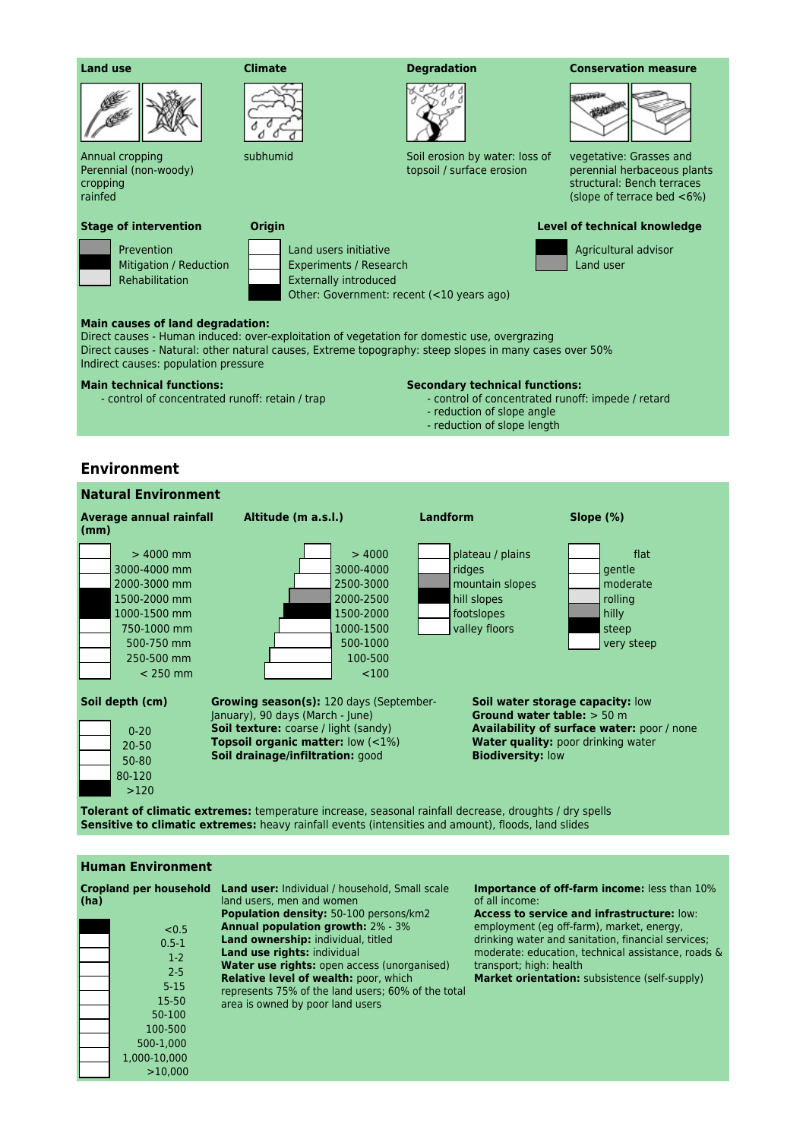

Annual cropping Perennial (non-woody) cropping rainfed

#### **Stage of intervention Origin Level of technical knowledge**

 Prevention Mitigation / Reduction Rehabilitation

 Land users initiative Experiments / Research Externally introduced

đ л



subhumid Soil erosion by water: loss of topsoil / surface erosion

#### **Land use Climate Degradation Conservation measure**



vegetative: Grasses and perennial herbaceous plants structural: Bench terraces (slope of terrace bed <6%)

 Agricultural advisor Land user

**Main causes of land degradation:** Direct causes - Human induced: over-exploitation of vegetation for domestic use, overgrazing Direct causes - Natural: other natural causes, Extreme topography: steep slopes in many cases over 50%

## **Main technical functions:**

Indirect causes: population pressure

- control of concentrated runoff: retain / trap

#### **Secondary technical functions:**

- control of concentrated runoff: impede / retard
- reduction of slope angle
- reduction of slope length

## **Environment**

| <b>Natural Environment</b>                                                                                                                                                                                                                                                                                                                                                                                                                                                            |                                                                                                        |                                                                                             |                                                                       |
|---------------------------------------------------------------------------------------------------------------------------------------------------------------------------------------------------------------------------------------------------------------------------------------------------------------------------------------------------------------------------------------------------------------------------------------------------------------------------------------|--------------------------------------------------------------------------------------------------------|---------------------------------------------------------------------------------------------|-----------------------------------------------------------------------|
| Average annual rainfall<br>(mm)                                                                                                                                                                                                                                                                                                                                                                                                                                                       | Altitude (m a.s.l.)                                                                                    | <b>Landform</b>                                                                             | Slope $(\%)$                                                          |
| $> 4000$ mm<br>3000-4000 mm<br>2000-3000 mm<br>1500-2000 mm<br>1000-1500 mm<br>750-1000 mm<br>500-750 mm<br>250-500 mm<br>$<$ 250 mm                                                                                                                                                                                                                                                                                                                                                  | >4000<br>3000-4000<br>2500-3000<br>2000-2500<br>1500-2000<br>1000-1500<br>500-1000<br>100-500<br>< 100 | plateau / plains<br>ridges<br>mountain slopes<br>hill slopes<br>footslopes<br>valley floors | flat<br>gentle<br>moderate<br>rolling<br>hilly<br>steep<br>very steep |
| Soil depth (cm)<br><b>Growing season(s): 120 days (September-</b><br>Soil water storage capacity: low<br>January), 90 days (March - June)<br>Ground water table: $> 50$ m<br><b>Soil texture:</b> coarse / light (sandy)<br><b>Availability of surface water: poor / none</b><br>$0 - 20$<br><b>Topsoil organic matter:</b> $low (<1%)$<br>Water quality: poor drinking water<br>$20 - 50$<br><b>Biodiversity: low</b><br>Soil drainage/infiltration: good<br>50-80<br>80-120<br>>120 |                                                                                                        |                                                                                             |                                                                       |
| <b>Tolerant of climatic extremes:</b> temperature increase, seasonal rainfall decrease, droughts / dry spells                                                                                                                                                                                                                                                                                                                                                                         |                                                                                                        |                                                                                             |                                                                       |

Other: Government: recent (<10 years ago)

**Sensitive to climatic extremes:** heavy rainfall events (intensities and amount), floods, land slides

## **Human Environment**

1,000-10,000 >10,000

| (ha) | <b>Cropland per household</b> | <b>Land user:</b> Individual / household, Small scale<br>land users, men and women<br>Population density: 50-100 persons/km2 | <b>Importance of off-farm income:</b> less than 10%<br>of all income:<br><b>Access to service and infrastructure: low:</b> |
|------|-------------------------------|------------------------------------------------------------------------------------------------------------------------------|----------------------------------------------------------------------------------------------------------------------------|
|      | < 0.5                         | <b>Annual population growth: 2% - 3%</b>                                                                                     | employment (eg off-farm), market, energy,                                                                                  |
|      | $0.5 - 1$                     | <b>Land ownership:</b> individual, titled                                                                                    | drinking water and sanitation, financial services;                                                                         |
|      | $1-2$                         | Land use rights: individual                                                                                                  | moderate: education, technical assistance, roads &                                                                         |
|      | $2 - 5$                       | Water use rights: open access (unorganised)                                                                                  | transport; high: health                                                                                                    |
|      | $5 - 15$                      | <b>Relative level of wealth: poor, which</b><br>represents 75% of the land users; 60% of the total                           | Market orientation: subsistence (self-supply)                                                                              |
|      | 15-50                         | area is owned by poor land users                                                                                             |                                                                                                                            |
|      | 50-100                        |                                                                                                                              |                                                                                                                            |
|      | 100-500                       |                                                                                                                              |                                                                                                                            |
|      | 500-1,000                     |                                                                                                                              |                                                                                                                            |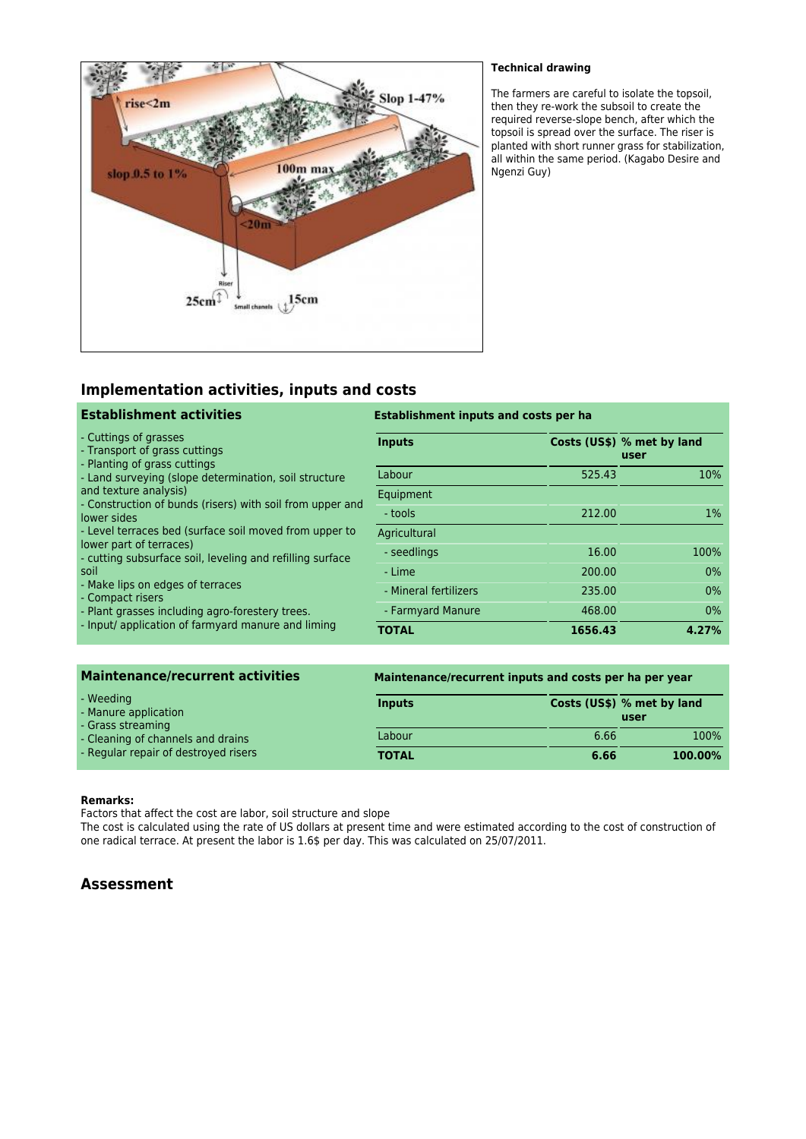

## **Technical drawing**

The farmers are careful to isolate the topsoil, then they re-work the subsoil to create the required reverse-slope bench, after which the topsoil is spread over the surface. The riser is planted with short runner grass for stabilization, all within the same period. (Kagabo Desire and Ngenzi Guy)

# **Implementation activities, inputs and costs**

| <b>Establishment activities</b>                                                                                                                                                                                                                                                                                                                                                                        | <b>Establishment inputs and costs per ha</b> |         |                                    |  |
|--------------------------------------------------------------------------------------------------------------------------------------------------------------------------------------------------------------------------------------------------------------------------------------------------------------------------------------------------------------------------------------------------------|----------------------------------------------|---------|------------------------------------|--|
| - Cuttings of grasses<br>- Transport of grass cuttings<br>- Planting of grass cuttings<br>- Land surveying (slope determination, soil structure<br>and texture analysis)<br>- Construction of bunds (risers) with soil from upper and<br>lower sides<br>- Level terraces bed (surface soil moved from upper to<br>lower part of terraces)<br>- cutting subsurface soil, leveling and refilling surface | <b>Inputs</b>                                |         | Costs (US\$) % met by land<br>user |  |
|                                                                                                                                                                                                                                                                                                                                                                                                        | Labour                                       | 525.43  | 10%                                |  |
|                                                                                                                                                                                                                                                                                                                                                                                                        | Equipment                                    |         |                                    |  |
|                                                                                                                                                                                                                                                                                                                                                                                                        | - tools                                      | 212.00  | $1\%$                              |  |
|                                                                                                                                                                                                                                                                                                                                                                                                        | Agricultural                                 |         |                                    |  |
|                                                                                                                                                                                                                                                                                                                                                                                                        | - seedlings                                  | 16.00   | 100%                               |  |
| soil                                                                                                                                                                                                                                                                                                                                                                                                   | - Lime                                       | 200.00  | $0\%$                              |  |
| - Make lips on edges of terraces<br>- Compact risers                                                                                                                                                                                                                                                                                                                                                   | - Mineral fertilizers                        | 235.00  | $0\%$                              |  |
| - Plant grasses including agro-forestery trees.<br>- Input/ application of farmyard manure and liming                                                                                                                                                                                                                                                                                                  | - Farmyard Manure                            | 468.00  | $0\%$                              |  |
|                                                                                                                                                                                                                                                                                                                                                                                                        | <b>TOTAL</b>                                 | 1656.43 | 4.27%                              |  |

| <b>Maintenance/recurrent activities</b>                |               | Maintenance/recurrent inputs and costs per ha per year |                                    |
|--------------------------------------------------------|---------------|--------------------------------------------------------|------------------------------------|
| - Weeding<br>- Manure application<br>- Grass streaming | <b>Inputs</b> |                                                        | Costs (US\$) % met by land<br>user |
| - Cleaning of channels and drains                      | Labour        | 6.66                                                   | 100%                               |
| - Regular repair of destroyed risers                   | <b>TOTAL</b>  | 6.66                                                   | 100.00%                            |

### **Remarks:**

Factors that affect the cost are labor, soil structure and slope

The cost is calculated using the rate of US dollars at present time and were estimated according to the cost of construction of one radical terrace. At present the labor is 1.6\$ per day. This was calculated on 25/07/2011.

# **Assessment**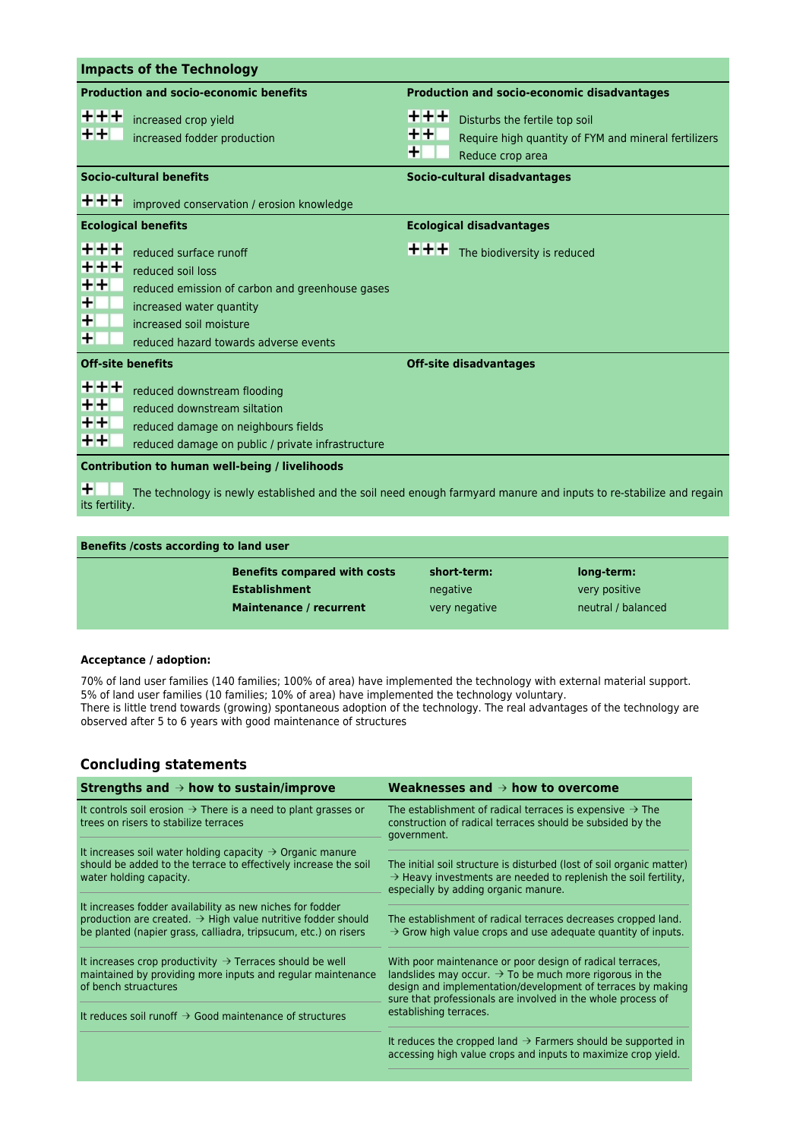| <b>Impacts of the Technology</b>                                                                                                          |                                                                                                                                                                                                |                                                                                                                                |  |  |
|-------------------------------------------------------------------------------------------------------------------------------------------|------------------------------------------------------------------------------------------------------------------------------------------------------------------------------------------------|--------------------------------------------------------------------------------------------------------------------------------|--|--|
| <b>Production and socio-economic benefits</b>                                                                                             |                                                                                                                                                                                                | <b>Production and socio-economic disadvantages</b>                                                                             |  |  |
| $+ + +$<br>++                                                                                                                             | increased crop yield<br>increased fodder production                                                                                                                                            | +++<br>Disturbs the fertile top soil<br>$+ +$<br>Require high quantity of FYM and mineral fertilizers<br>×<br>Reduce crop area |  |  |
| <b>Socio-cultural benefits</b>                                                                                                            |                                                                                                                                                                                                | Socio-cultural disadvantages                                                                                                   |  |  |
| +++                                                                                                                                       | improved conservation / erosion knowledge                                                                                                                                                      |                                                                                                                                |  |  |
|                                                                                                                                           | <b>Ecological benefits</b>                                                                                                                                                                     | <b>Ecological disadvantages</b>                                                                                                |  |  |
| $+ + +$<br>$+ + +$<br>$+ +$<br>+<br>+<br>+                                                                                                | reduced surface runoff<br>reduced soil loss<br>reduced emission of carbon and greenhouse gases<br>increased water quantity<br>increased soil moisture<br>reduced hazard towards adverse events | $+ + +$<br>The biodiversity is reduced                                                                                         |  |  |
| <b>Off-site benefits</b>                                                                                                                  |                                                                                                                                                                                                | <b>Off-site disadvantages</b>                                                                                                  |  |  |
| $+ + +$<br>$++$<br>$+ +$<br>$+ +$                                                                                                         | reduced downstream flooding<br>reduced downstream siltation<br>reduced damage on neighbours fields<br>reduced damage on public / private infrastructure                                        |                                                                                                                                |  |  |
| <b>Contribution to human well-being / livelihoods</b>                                                                                     |                                                                                                                                                                                                |                                                                                                                                |  |  |
| +<br>The technology is newly established and the soil need enough farmyard manure and inputs to re-stabilize and regain<br>its fertility. |                                                                                                                                                                                                |                                                                                                                                |  |  |
|                                                                                                                                           |                                                                                                                                                                                                |                                                                                                                                |  |  |

| Benefits /costs according to land user |                                     |               |                    |  |
|----------------------------------------|-------------------------------------|---------------|--------------------|--|
|                                        | <b>Benefits compared with costs</b> | short-term:   | long-term:         |  |
|                                        | <b>Establishment</b>                | negative      | very positive      |  |
|                                        | Maintenance / recurrent             | very negative | neutral / balanced |  |
|                                        |                                     |               |                    |  |

### **Acceptance / adoption:**

70% of land user families (140 families; 100% of area) have implemented the technology with external material support. 5% of land user families (10 families; 10% of area) have implemented the technology voluntary. There is little trend towards (growing) spontaneous adoption of the technology. The real advantages of the technology are observed after 5 to 6 years with good maintenance of structures

# **Concluding statements**

| Strengths and $\rightarrow$ how to sustain/improve                                                                                                                                                       | Weaknesses and $\rightarrow$ how to overcome                                                                                                                                                                                                                    |  |
|----------------------------------------------------------------------------------------------------------------------------------------------------------------------------------------------------------|-----------------------------------------------------------------------------------------------------------------------------------------------------------------------------------------------------------------------------------------------------------------|--|
| It controls soil erosion $\rightarrow$ There is a need to plant grasses or<br>trees on risers to stabilize terraces                                                                                      | The establishment of radical terraces is expensive $\rightarrow$ The<br>construction of radical terraces should be subsided by the<br>government.                                                                                                               |  |
| It increases soil water holding capacity $\rightarrow$ Organic manure<br>should be added to the terrace to effectively increase the soil<br>water holding capacity.                                      | The initial soil structure is disturbed (lost of soil organic matter)<br>$\rightarrow$ Heavy investments are needed to replenish the soil fertility,<br>especially by adding organic manure.                                                                    |  |
| It increases fodder availability as new niches for fodder<br>production are created. $\rightarrow$ High value nutritive fodder should<br>be planted (napier grass, calliadra, tripsucum, etc.) on risers | The establishment of radical terraces decreases cropped land.<br>$\rightarrow$ Grow high value crops and use adequate quantity of inputs.                                                                                                                       |  |
| It increases crop productivity $\rightarrow$ Terraces should be well<br>maintained by providing more inputs and regular maintenance<br>of bench struactures                                              | With poor maintenance or poor design of radical terraces,<br>landslides may occur. $\rightarrow$ To be much more rigorous in the<br>design and implementation/development of terraces by making<br>sure that professionals are involved in the whole process of |  |
| It reduces soil runoff $\rightarrow$ Good maintenance of structures                                                                                                                                      | establishing terraces.                                                                                                                                                                                                                                          |  |
|                                                                                                                                                                                                          | It reduces the cropped land $\rightarrow$ Farmers should be supported in<br>accessing high value crops and inputs to maximize crop yield.                                                                                                                       |  |